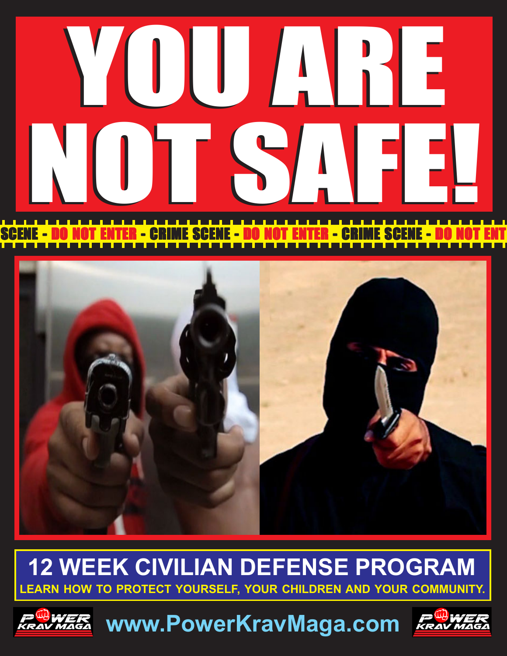# NOT SAFE! YOU ARE YOU ARE NOT SAFE!

### SCENE - DO NOT ENTER - CRIME SCENE - DO NOT ENTER - CRIME SCENE - DO NOT ENT



### **12 WEEK CIVILIAN DEFENSE PROGRAM LEARN HOW TO PROTECT YOURSELF, YOUR CHILDREN AND YOUR COMMUNITY.**



**www.PowerKravMaga.com** 

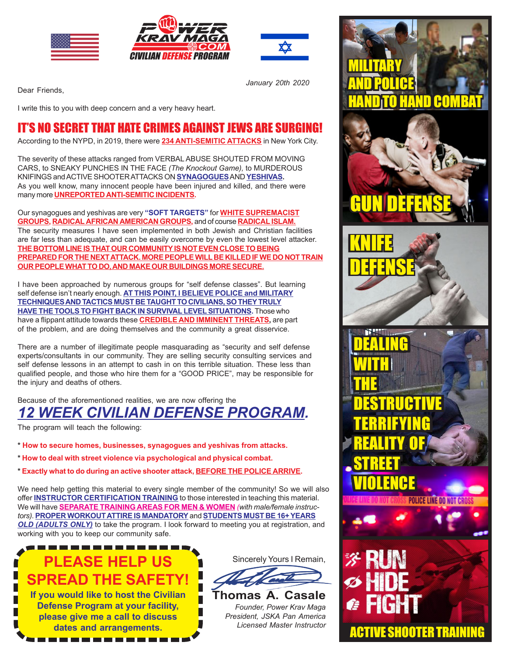





*January 20th 2020*

Dear Friends,

I write this to you with deep concern and a very heavy heart.

#### IT'S NO SECRET THAT HATE CRIMES AGAINST JEWS ARE SURGING!

According to the NYPD, in 2019, there were **234 ANTI-SEMITIC ATTACKS** in New York City.

The severity of these attacks ranged from VERBAL ABUSE SHOUTED FROM MOVING CARS, to SNEAKY PUNCHES IN THE FACE *(The Knockout Game),* to MURDEROUS KNIFINGS and ACTIVE SHOOTER ATTACKS ON **SYNAGOGUES** AND **YESHIVAS.** As you well know, many innocent people have been injured and killed, and there were many more **UNREPORTED ANTI-SEMITIC INCIDENTS.**

Our synagogues and yeshivas are very **"SOFT TARGETS"** for **WHITE SUPREMACIST GROUPS, RADICAL AFRICAN AMERICAN GROUPS,** and of course **RADICAL ISLAM.** The security measures I have seen implemented in both Jewish and Christian facilities are far less than adequate, and can be easily overcome by even the lowest level attacker. **THE BOTTOM LINE IS THAT OUR COMMUNITY IS NOT EVEN CLOSE TO BEING PREPARED FOR THE NEXT ATTACK. MORE PEOPLE WILL BE KILLED IF WE DO NOT TRAIN OUR PEOPLE WHAT TO DO, AND MAKE OUR BUILDINGS MORE SECURE.**

I have been approached by numerous groups for "self defense classes". But learning self defense isn't nearly enough. **AT THIS POINT, I BELIEVE POLICE and MILITARY TECHNIQUES AND TACTICS MUST BE TAUGHT TO CIVILIANS, SO THEY TRULY HAVE THE TOOLS TO FIGHT BACK IN SURVIVAL LEVEL SITUATIONS.** Those who have a flippant attitude towards these **CREDIBLE AND IMMINENT THREATS,** are part of the problem, and are doing themselves and the community a great disservice.

There are a number of illegitimate people masquarading as "security and self defense experts/consultants in our community. They are selling security consulting services and self defense lessons in an attempt to cash in on this terrible situation. These less than qualified people, and those who hire them for a "GOOD PRICE", may be responsible for the injury and deaths of others.

Because of the aforementioned realities, we are now offering the *12 WEEK CIVILIAN DEFENSE PROGRAM.*

The program will teach the following:

- **\* How to secure homes, businesses, synagogues and yeshivas from attacks.**
- **\* How to deal with street violence via psychological and physical combat.**
- **\* Exactly what to do during an active shooter attack, BEFORE THE POLICE ARRIVE.**

We need help getting this material to every single member of the community! So we will also offer **INSTRUCTOR CERTIFICATION TRAINING** to those interested in teaching this material. We will have **SEPARATE TRAINING AREAS FOR MEN & WOMEN** *(with male/female instructors)*. **PROPER WORKOUT ATTIRE IS MANDATORY** and **STUDENTS MUST BE 16+ YEARS** *OLD (ADULTS ONLY)* to take the program. I look forward to meeting you at registration, and working with you to keep our community safe.

### **PLEASE HELP US SPREAD THE SAFET**

**If you would like to host the Civilian Defense Program at your facility, please give me a call to discuss dates and arrangements.**

-------------





*Founder, Power Krav Maga President, JSKA Pan America Licensed Master Instructor*

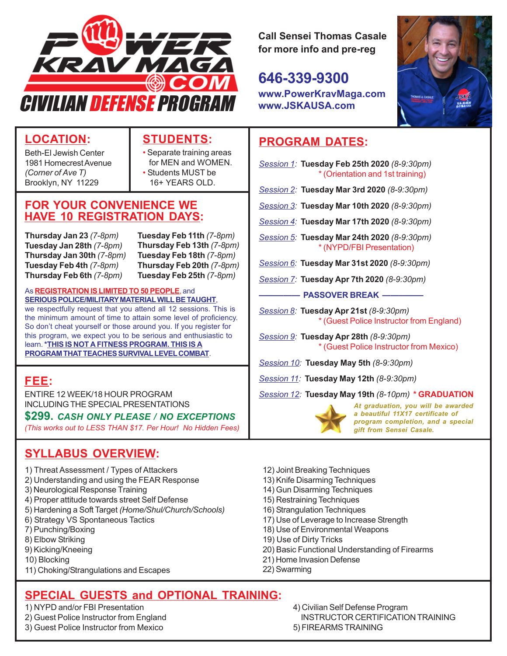

**Call Sensei Thomas Casale for more info and pre-reg**

**646-339-9300 www.PowerKravMaga.com**



#### **LOCATION:**

Beth-El Jewish Center 1981 Homecrest Avenue *(Corner of Ave T)* Brooklyn, NY 11229

#### **STUDENTS:**

- Separate training areas for MEN and WOMEN. • Students MUST be 16+ YEARS OLD.
- **FOR YOUR CONVENIENCE WE HAVE 10 REGISTRATION DAYS:**

**Thursday Jan 23** *(7-8pm)* **Tuesday Jan 28th** *(7-8pm)* **Thursday Jan 30th** *(7-8pm)* **Tuesday Feb 4th** *(7-8pm)* **Thursday Feb 6th** *(7-8pm)*

**Tuesday Feb 11th** *(7-8pm)* **Thursday Feb 13th** *(7-8pm)* **Tuesday Feb 18th** *(7-8pm)* **Thursday Feb 20th** *(7-8pm)* **Tuesday Feb 25th** *(7-8pm)*

#### As **REGISTRATION IS LIMITED TO 50 PEOPLE**, and

**SERIOUS POLICE/MILITARY MATERIAL WILL BE TAUGHT**, we respectfully request that you attend all 12 sessions. This is the minimum amount of time to attain some level of proficiency. So don't cheat yourself or those around you. If you register for this program, we expect you to be serious and enthusiastic to learn. **\*THIS IS NOT A FITNESS PROGRAM. THIS IS A PROGRAM THAT TEACHES SURVIVAL LEVEL COMBAT**.

#### **FEE:**

ENTIRE 12 WEEK/18 HOUR PROGRAM INCLUDING THE SPECIAL PRESENTATIONS

#### **\$299.** *CASH ONLY PLEASE / NO EXCEPTIONS*

*(This works out to LESS THAN \$17. Per Hour! No Hidden Fees)*

#### **SYLLABUS OVERVIEW:**

- 1) Threat Assessment / Types of Attackers
- 2) Understanding and using the FEAR Response
- 3) Neurological Response Training
- 4) Proper attitude towards street Self Defense
- 5) Hardening a Soft Target *(Home/Shul/Church/Schools)*
- 6) Strategy VS Spontaneous Tactics
- 7) Punching/Boxing
- 8) Elbow Striking
- 9) Kicking/Kneeing
- 10) Blocking
- 11) Choking/Strangulations and Escapes

#### **SPECIAL GUESTS and OPTIONAL TRAINING:**

- 
- 
- 3) Guest Police Instructor from Mexico 5) FIREARMS TRAINING

#### **PROGRAM DATES:**

**www.JSKAUSA.com**

- *Session 1:* **Tuesday Feb 25th 2020** *(8-9:30pm)* \* (Orientation and 1st training) *Session 2:* **Tuesday Mar 3rd 2020** *(8-9:30pm)*
- *Session 3:* **Tuesday Mar 10th 2020** *(8-9:30pm)*
- *Session 4:* **Tuesday Mar 17th 2020** *(8-9:30pm)*
- *Session 5:* **Tuesday Mar 24th 2020** *(8-9:30pm)* \* (NYPD/FBI Presentation)
- *Session 6:* **Tuesday Mar 31st 2020** *(8-9:30pm)*
- *Session 7:* **Tuesday Apr 7th 2020** *(8-9:30pm)*

**MASSOVER BREAK —** 

- *Session 8:* **Tuesday Apr 21st** *(8-9:30pm)* \* (Guest Police Instructor from England)
- *Session 9:* **Tuesday Apr 28th** *(8-9:30pm)* \* (Guest Police Instructor from Mexico)
- *Session 10:* **Tuesday May 5th** *(8-9:30pm)*
- *Session 11:* **Tuesday May 12th** *(8-9:30pm)*
- *Session 12:* **Tuesday May 19th** *(8-10pm)* **\* GRADUATION**



*At graduation, you will be awarded a beautiful 11X17 certificate of program completion, and a special gift from Sensei Casale.*

- 12) Joint Breaking Techniques
- 13) Knife Disarming Techniques
- 14) Gun Disarming Techniques
- 15) Restraining Techniques
- 16) Strangulation Techniques
- 17) Use of Leverage to Increase Strength
- 18) Use of Environmental Weapons
- 19) Use of Dirty Tricks
- 20) Basic Functional Understanding of Firearms
- 21) Home Invasion Defense
- 22) Swarming

1) NYPD and/or FBI Presentation 4) Civilian Self Defense Program 2) Guest Police Instructor from England **INSTRUCTOR CERTIFICATION TRAINING**